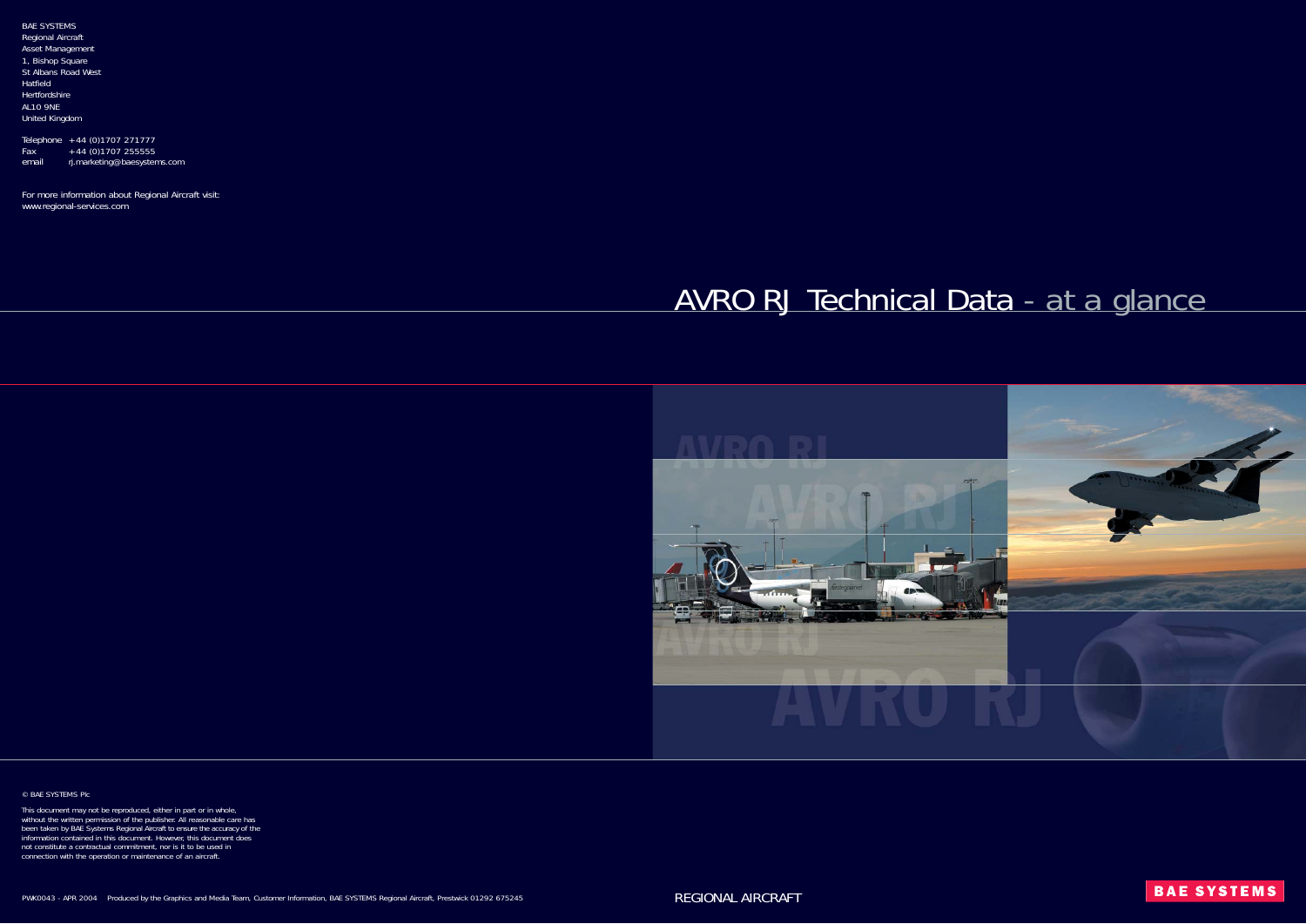Telephone +44 (0)1707 271777  $Fax +44 (0)1707 255555$ email rj.marketing@baesystems.com

BAE SYSTEMS Regional Aircraft Asset Management 1, Bishop Square St Albans Road West Hatfield Hertfordshire AL10 9NE United Kingdom

For more information about Regional Aircraft visit: www.regional-services.com



© BAE SYSTEMS Plc

This document may not be reproduced, either in part or in whole, without the written permission of the publisher. All reasonable care has been taken by BAE Systems Regional Aircraft to ensure the accuracy of the information contained in this document. However, this document does not constitute a contractual commitment, nor is it to be used in connection with the operation or maintenance of an aircraft.

# AVRO RJ Technical Data - *at a glance*

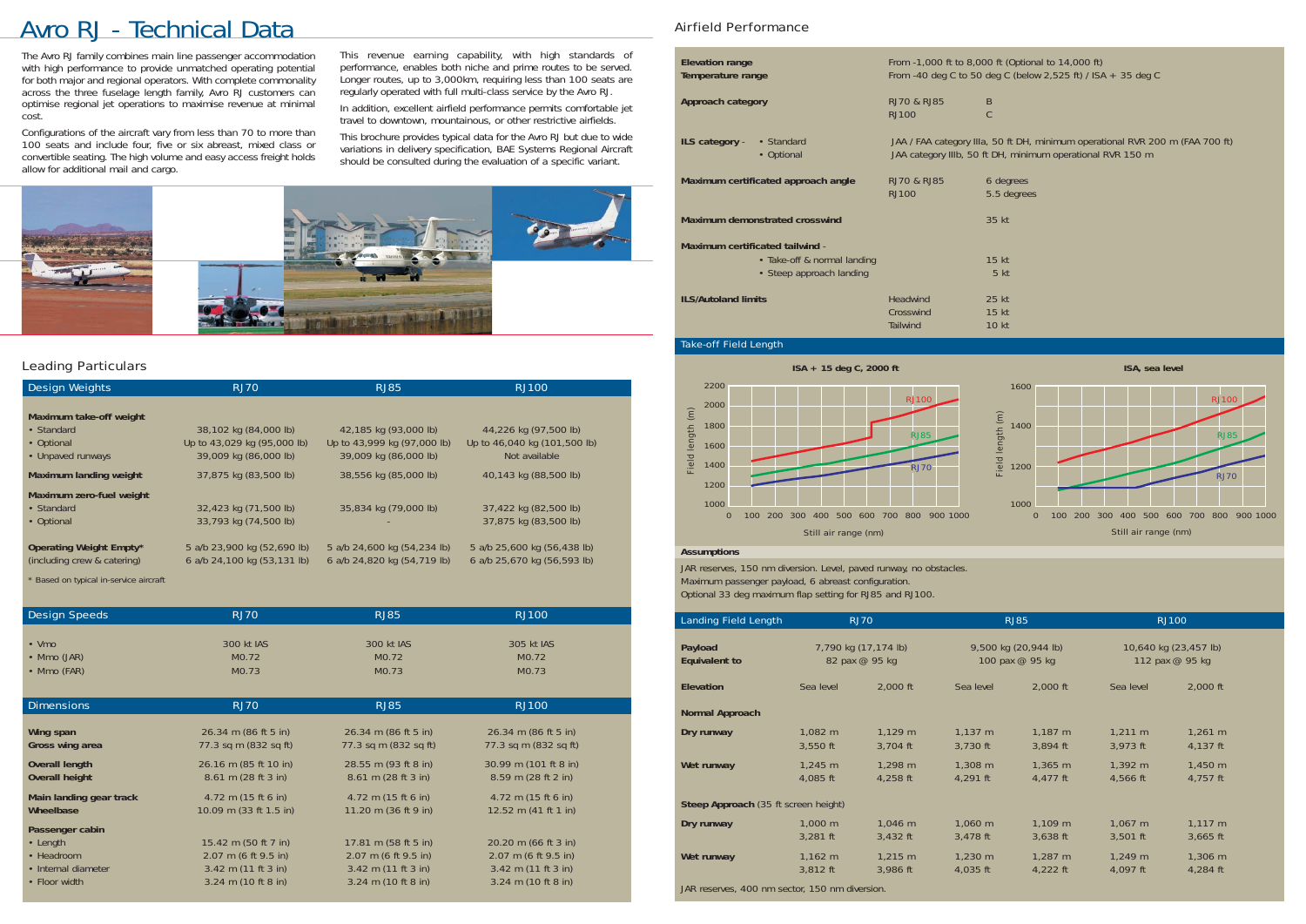### Leading Particulars

## Avro RJ - Technical Data Airfield Performance

The Avro RJ family combines main line passenger accommodation with high performance to provide unmatched operating potential for both major and regional operators. With complete commonality across the three fuselage length family, Avro RJ customers can optimise regional jet operations to maximise revenue at minimal cost.

Configurations of the aircraft vary from less than 70 to more than 100 seats and include four, five or six abreast, mixed class or convertible seating. The high volume and easy access freight holds allow for additional mail and cargo.

| Design Weights                                                           | <b>RJ70</b>                                                                   | RJ85                                                                          | <b>RJ100</b>                                                           |
|--------------------------------------------------------------------------|-------------------------------------------------------------------------------|-------------------------------------------------------------------------------|------------------------------------------------------------------------|
| Maximum take-off weight<br>• Standard<br>• Optional<br>• Unpaved runways | 38,102 kg (84,000 lb)<br>Up to 43,029 kg (95,000 lb)<br>39,009 kg (86,000 lb) | 42,185 kg (93,000 lb)<br>Up to 43,999 kg (97,000 lb)<br>39,009 kg (86,000 lb) | 44,226 kg (97,500 lb)<br>Up to 46,040 kg (101,500 lb)<br>Not available |
| Maximum landing weight<br>Maximum zero-fuel weight                       | 37,875 kg (83,500 lb)                                                         | 38,556 kg (85,000 lb)                                                         | 40,143 kg (88,500 lb)                                                  |
| • Standard<br>• Optional                                                 | 32,423 kg (71,500 lb)<br>33,793 kg (74,500 lb)                                | 35,834 kg (79,000 lb)                                                         | 37,422 kg (82,500 lb)<br>37,875 kg (83,500 lb)                         |
| Operating Weight Empty*<br>(including crew & catering)                   | 5 a/b 23,900 kg (52,690 lb)<br>6 a/b 24,100 kg (53,131 lb)                    | 5 a/b 24,600 kg (54,234 lb)<br>6 a/b 24,820 kg (54,719 lb)                    | 5 a/b 25,600 kg (56,438 lb)<br>6 a/b 25,670 kg (56,593 lb)             |

*\* Based on typical in-service aircraft*

| Design Speeds           | <b>RJ70</b>               | <b>RJ85</b>            | <b>RJ100</b>           |  |
|-------------------------|---------------------------|------------------------|------------------------|--|
|                         |                           |                        |                        |  |
| $\bullet$ Vmo           | 300 kt IAS                | 300 kt IAS             | 305 kt IAS             |  |
| • Mmo $(JAR)$           | MO.72                     | MO.72                  | MO.72                  |  |
| • Mmo (FAR)             | MO.73                     | MO.73                  | MO.73                  |  |
|                         |                           |                        |                        |  |
| <b>Dimensions</b>       | <b>RJ70</b>               | <b>RJ85</b>            | <b>RJ100</b>           |  |
|                         |                           |                        |                        |  |
| Wing span               | 26.34 m (86 ft 5 in)      | 26.34 m (86 ft 5 in)   | 26.34 m (86 ft 5 in)   |  |
| Gross wing area         | 77.3 sq m (832 sq ft)     | 77.3 sq m (832 sq ft)  | 77.3 sq m (832 sq ft)  |  |
| <b>Overall length</b>   | 26.16 m (85 ft 10 in)     | 28.55 m (93 ft 8 in)   | 30.99 m (101 ft 8 in)  |  |
| <b>Overall height</b>   | 8.61 m (28 ft 3 in)       | 8.61 m (28 ft 3 in)    | 8.59 m (28 ft 2 in)    |  |
| Main landing gear track | 4.72 m $(15 ft 6 in)$     | 4.72 m $(15 ft 6 in)$  | 4.72 m $(15 ft 6 in)$  |  |
| Wheelbase               | 10.09 m $(33 ft 1.5 in)$  | 11.20 m $(36 ft 9 ih)$ | 12.52 m $(41 ft 1 in)$ |  |
| Passenger cabin         |                           |                        |                        |  |
| • Length                | 15.42 m (50 ft 7 in)      | 17.81 m (58 ft 5 in)   | 20.20 m (66 ft 3 in)   |  |
| • Headroom              | 2.07 m (6 ft 9.5 in)      | 2.07 m (6 ft 9.5 in)   | 2.07 m (6 ft 9.5 in)   |  |
| • Internal diameter     | $3.42$ m $(11$ ft $3$ in) | 3.42 m (11 ft 3 in)    | $3.42$ m (11 ft 3 in)  |  |
| • Floor width           | 3.24 m (10 ft 8 in)       | 3.24 m (10 ft 8 in)    | 3.24 m (10 ft 8 in)    |  |

| <b>Elevation range</b><br>Temperature range                                                |                                                 | From -1,000 ft to 8,000 ft (Optional to 14,000 ft)<br>From -40 deg C to 50 deg C (below 2,525 ft) / ISA + 35 deg C                          |
|--------------------------------------------------------------------------------------------|-------------------------------------------------|---------------------------------------------------------------------------------------------------------------------------------------------|
| Approach category                                                                          | RJ70 & RJ85<br><b>RJ100</b>                     | B<br>C                                                                                                                                      |
| ILS category -<br>• Standard<br>• Optional                                                 |                                                 | JAA / FAA category IIIa, 50 ft DH, minimum operational RVR 200 m (FAA 700 ft)<br>JAA category IIIb, 50 ft DH, minimum operational RVR 150 m |
| Maximum certificated approach angle                                                        | RJ70 & RJ85<br><b>RJ100</b>                     | 6 degrees<br>5.5 degrees                                                                                                                    |
| Maximum demonstrated crosswind                                                             |                                                 | 35 kt                                                                                                                                       |
| Maximum certificated tailwind -<br>• Take-off & normal landing<br>• Steep approach landing |                                                 | 15 <sub>kt</sub><br>5 <sub>kt</sub>                                                                                                         |
| <b>ILS/Autoland limits</b>                                                                 | <b>Headwind</b><br>Crosswind<br><b>Tailwind</b> | $25$ kt<br>15 kt<br><b>10 kt</b>                                                                                                            |

### Take-off Field Length

### **Assumptions**

JAR reserves, 150 nm diversion. Level, paved runway, no obstacles. Maximum passenger payload, 6 abreast configuration. Optional 33 deg maximum flap setting for RJ85 and RJ100.

| Landing Field Length                           | <b>RJ70</b>          |              | <b>RJ85</b>          |              | <b>RJ100</b>          |              |
|------------------------------------------------|----------------------|--------------|----------------------|--------------|-----------------------|--------------|
| Payload                                        | 7,790 kg (17,174 lb) |              | 9,500 kg (20,944 lb) |              | 10,640 kg (23,457 lb) |              |
| <b>Equivalent to</b>                           | 82 pax @ 95 kg       |              | 100 pax @ 95 kg      |              | 112 pax @ 95 kg       |              |
| <b>Elevation</b>                               | Sea level            | 2,000 ft     | Sea level            | 2,000 ft     | Sea level             | 2,000 ft     |
| Normal Approach                                |                      |              |                      |              |                       |              |
| Dry runway                                     | 1,082 m              | $1,129$ m    | $1,137 \; m$         | $1,187$ m    | $1,211 \; m$          | $1,261 \; m$ |
|                                                | 3,550 ft             | 3,704 ft     | 3,730 ft             | 3,894 ft     | 3,973 ft              | 4,137 ft     |
| Wet runway                                     | $1,245 \; m$         | 1,298 m      | $1,308 \; \text{m}$  | $1,365 \; m$ | $1,392 \; m$          | $1,450 \; m$ |
|                                                | 4,085 ft             | 4,258 ft     | 4,291 ft             | 4,477 ft     | 4,566 ft              | 4,757 ft     |
| Steep Approach (35 ft screen height)           |                      |              |                      |              |                       |              |
| Dry runway                                     | 1,000 m              | 1,046 m      | $1,060 \; m$         | $1,109 \; m$ | $1,067$ m             | $1,117 \; m$ |
|                                                | $3,281$ ft           | $3,432$ ft   | 3,478 ft             | 3,638 ft     | $3,501$ ft            | $3,665$ ft   |
| Wet runway                                     | $1,162 \; m$         | $1,215 \; m$ | $1,230 \; \text{m}$  | $1,287$ m    | $1,249 \; m$          | $1,306 \; m$ |
|                                                | 3,812 ft             | 3,986 ft     | 4,035 ft             | 4,222 ft     | 4,097 ft              | 4,284 ft     |
| JAR reserves, 400 nm sector, 150 nm diversion. |                      |              |                      |              |                       |              |





This revenue earning capability, with high standards of performance, enables both niche and prime routes to be served. Longer routes, up to 3,000km, requiring less than 100 seats are regularly operated with full multi-class service by the Avro RJ.

In addition, excellent airfield performance permits comfortable jet travel to downtown, mountainous, or other restrictive airfields.

This brochure provides typical data for the Avro RJ but due to wide variations in delivery specification, BAE Systems Regional Aircraft should be consulted during the evaluation of a specific variant.

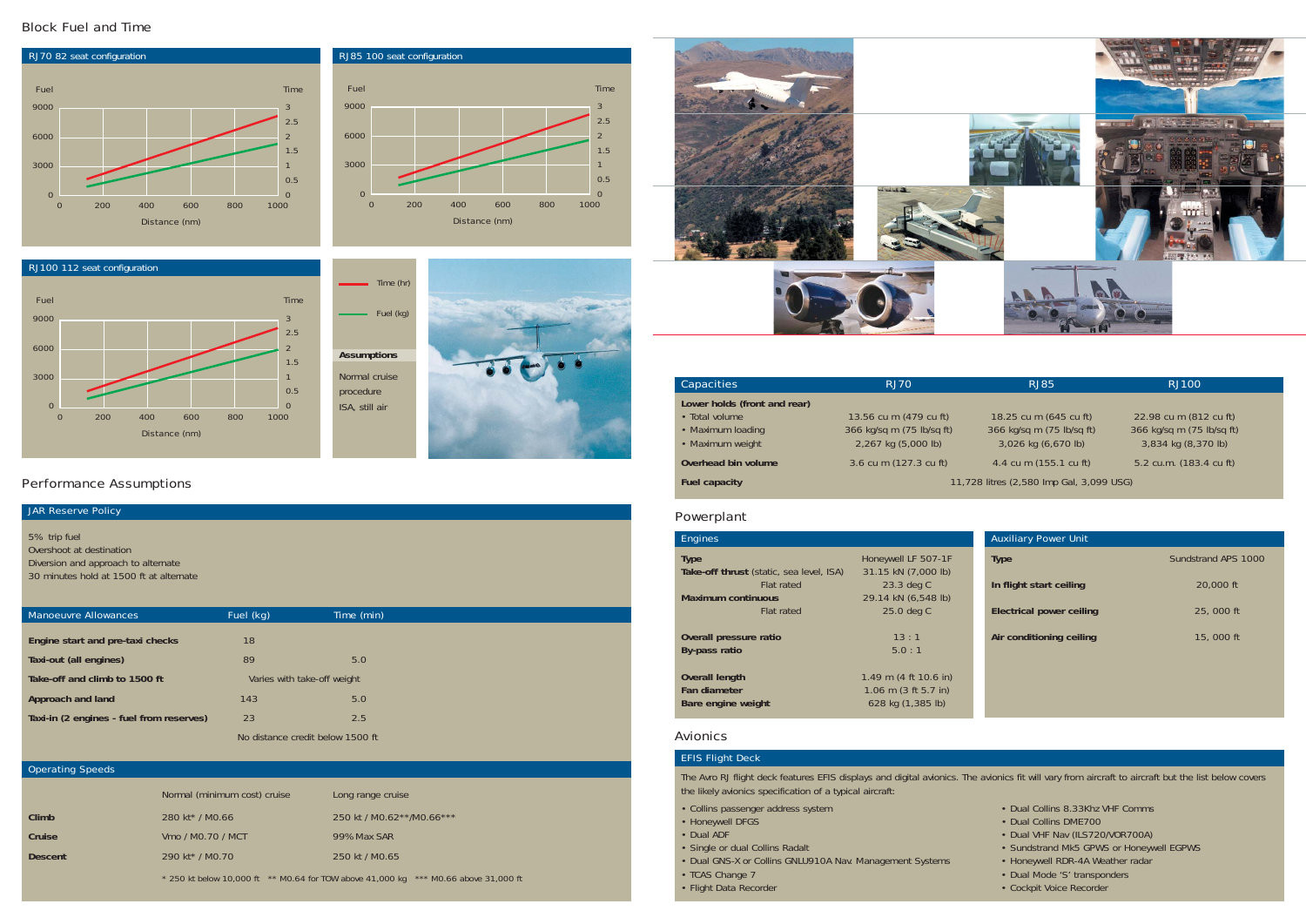### Powerplant

| <b>Engines</b>                           |                                          |
|------------------------------------------|------------------------------------------|
| <b>Type</b>                              | Honeywell LF 507-1F                      |
| Take-off thrust (static, sea level, ISA) | 31.15 kN (7,000 lb)                      |
| Flat rated                               | 23.3 deg C                               |
| <b>Maximum continuous</b>                | 29.14 kN (6,548 lb)                      |
| <b>Flat rated</b>                        | 25.0 deg C                               |
| Overall pressure ratio                   | 13:1                                     |
| By-pass ratio                            | 5.0:1                                    |
| <b>Overall length</b>                    | 1.49 m $(4 \text{ ft } 10.6 \text{ in})$ |
| Fan diameter                             | 1.06 m $(3 ft 5.7 in)$                   |
| Bare engine weight                       | 628 kg (1,385 lb)                        |

- Collins passenger address system Dual Collins 8.33Khz VHF Comms
- Honeywell DFGS Dual Collins DME700
- Dual ADF Dual VHF Nav (ILS720/VOR700A)
- Single or dual Collins Radalt  **Sundstrand Mk5 GPWS or Honeywell EGPWS** 
	-
- TCAS Change 7 Dual Mode 'S' transponders
- Flight Data Recorder Cockpit Voice Recorder Cockpit Voice Recorder

### Avionics

### EFIS Flight Deck

The Avro RJ flight deck features EFIS displays and digital avionics. The avionics fit will vary from aircraft to aircraft but the list below covers the likely avionics specification of a typical aircraft:

- 
- 
- 
- 
- Dual GNS-X or Collins GNLU910A Nav. Management Systems Honeywell RDR-4A Weather radar
- 
- 

| Capacities                   | <b>RJ70</b>                              | R.185                     | RJ100           |  |
|------------------------------|------------------------------------------|---------------------------|-----------------|--|
| Lower holds (front and rear) |                                          |                           |                 |  |
| • Total volume               | 13.56 cu m (479 cu ft)                   | 18.25 cu m (645 cu ft)    | 22.98 cu m (81  |  |
| • Maximum loading            | 366 kg/sq m (75 lb/sq ft)                | 366 kg/sq m (75 lb/sq ft) | 366 kg/sg m (75 |  |
| • Maximum weight             | 2,267 kg (5,000 lb)                      | 3,026 kg (6,670 lb)       | 3,834 kg (8,3   |  |
| Overhead bin volume          | 3.6 cu m (127.3 cu ft)                   | 4.4 cu m (155.1 cu ft)    | 5.2 cu.m. (183  |  |
| <b>Fuel capacity</b>         | 11,728 litres (2,580 lmp Gal, 3,099 USG) |                           |                 |  |
|                              |                                          |                           |                 |  |

• Total volume 13.56 cu m (479 cu ft) 18.25 cu m (645 cu ft) 22.98 cu m (812 cu ft) • Maximum loading 366 kg/sq m (75 lb/sq ft) 366 kg/sq m (75 lb/sq ft) 366 kg/sq m (75 lb/sq ft) • Maximum weight 2,267 kg (5,000 lb) 3,026 kg (6,670 lb) 3,834 kg (8,370 lb)

4.4 cu m (155.1 cu ft) 5.2 cu.m. (183.4 cu ft)

### Auxiliary Power Unit

**In flight start ceiling** 20,000 ft

**Electrical power ceiling** 25, 000 ft

**Air conditioning ceiling 15, 000 ft** 

**Type** Sundstrand APS 1000

### Block Fuel and Time

### Performance Assumptions

### **JAR Reserve Policy**

### 5% trip fuel

Overshoot at destination Diversion and approach to alternate 30 minutes hold at 1500 ft at alternate





| Manoeuvre Allowances                     | Fuel (kg) | Time (min)                       |
|------------------------------------------|-----------|----------------------------------|
| Engine start and pre-taxi checks         | 18        |                                  |
| Taxi-out (all engines)                   | 89        | 5.0                              |
| Take-off and climb to 1500 ft            |           | Varies with take-off weight      |
| Approach and land                        | 143       | 5.0                              |
| Taxi-in (2 engines - fuel from reserves) | 23        | 2.5                              |
|                                          |           | No distance credit below 1500 ft |



### Operating Speeds

### RJ100 112 seat configuration 0 3000 6000 9000  $\Omega$ 1 2 3 0.5 1.5 2.5 0 200 400 600 800 1000 Fuel Time Distance (nm)

|                | Normal (minimum cost) cruise | Long range cruise                                                                           |
|----------------|------------------------------|---------------------------------------------------------------------------------------------|
| Climb          | 280 kt <sup>*</sup> / M0.66  | 250 kt / M0.62**/M0.66***                                                                   |
| Cruise         | Vmo / MO.70 / MCT            | 99% Max SAR                                                                                 |
| <b>Descent</b> | 290 kt <sup>*</sup> / MO.70  | 250 kt / MO.65                                                                              |
|                |                              | $*$ 250 kt below 10,000 ft $*$ * M0.64 for TOW above 41,000 kg $*$ ** M0.66 above 31,000 ft |